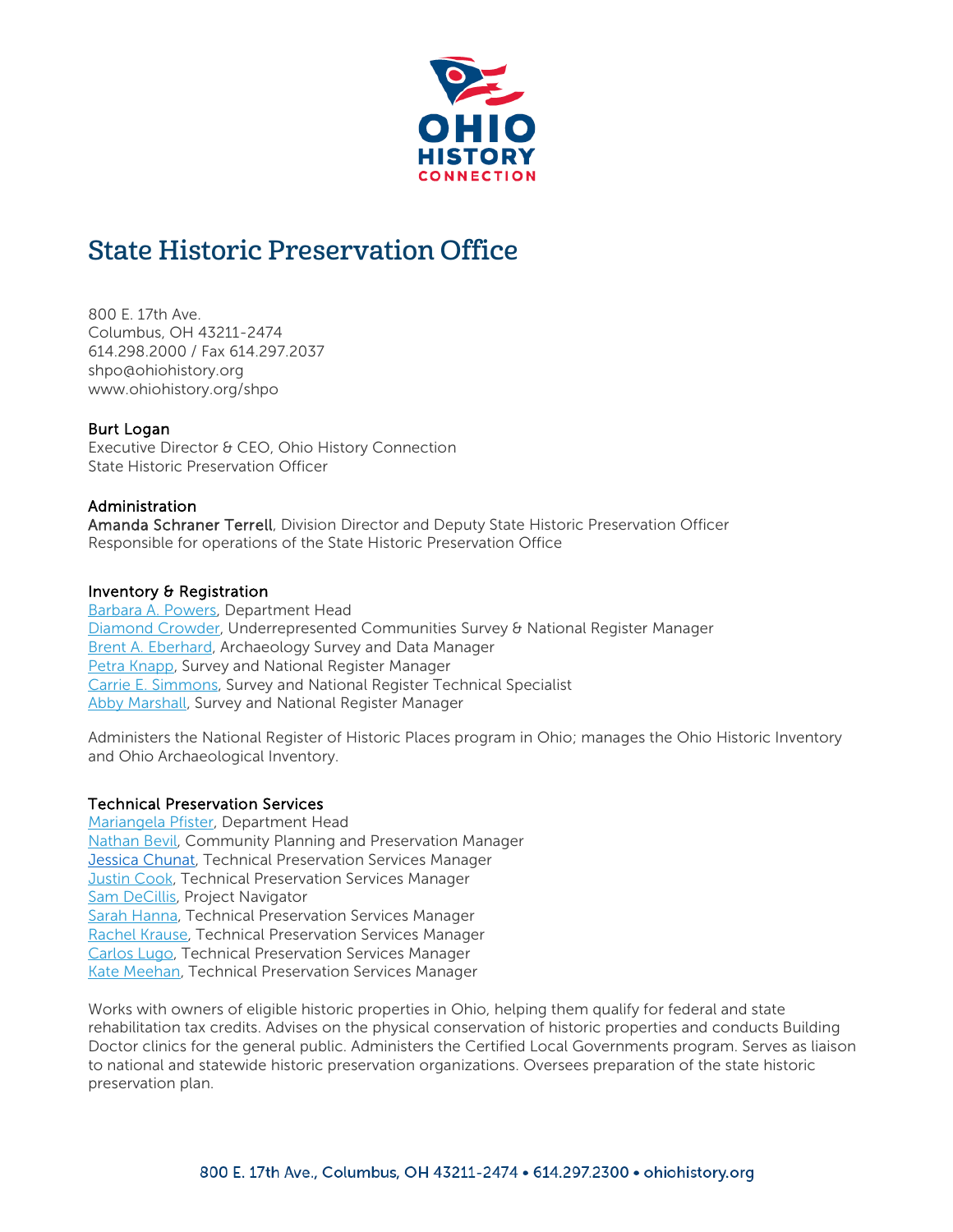

# State Historic Preservation Office

800 E. 17th Ave. Columbus, OH 43211-2474 614.298.2000 / Fax 614.297.2037 shpo@ohiohistory.org www.ohiohistory.org/shpo

## Burt Logan

Executive Director & CEO, Ohio History Connection State Historic Preservation Officer

#### Administration

Amanda Schraner Terrell, Division Director and Deputy State Historic Preservation Officer Responsible for operations of the State Historic Preservation Office

#### Inventory & Registration

[Barbara A. Powers,](mailto:bpowers@ohiohistory.org) Department Head [Diamond Crowder,](mailto:dcrowder@ohiohistory.org?subject=Survey%20&%20National%20Register%20of%20Historic%20Places) Underrepresented Communities Survey & National Register Manager [Brent A. Eberhard,](mailto:beberhard@ohiohistory.org) Archaeology Survey and Data Manager [Petra Knapp,](mailto:pknapp@ohiohistory.org?subject=National%20Register%20of%20Historic%20Places) Survey and National Register Manager [Carrie E. Simmons,](mailto:csimmons@ohiohistory.org) Survey and National Register Technical Specialist [Abby Marshall,](mailto:amarshall@ohiohistory.org?subject=Survey%20&%20National%20Register%20of%20Historic%20Places) Survey and National Register Manager

Administers the National Register of Historic Places program in Ohio; manages the Ohio Historic Inventory and Ohio Archaeological Inventory.

#### Technical Preservation Services

[Mariangela Pfister,](mailto:mpfister@ohiohistory.org) Department Head [Nathan Bevil,](mailto:nbevil@ohiohistory.org) Community Planning and Preservation Manager **[Jessica Chunat,](mailto:jchunat@ohiohistory.org) Technical Preservation Services Manager [Justin Cook,](mailto:jcook@ohiohistory.org) Technical Preservation Services Manager** [Sam DeCillis,](mailto:sdecillis@ohiohistory.org) Project Navigator **[Sarah Hanna,](mailto:shanna@ohiohistory.org) Technical Preservation Services Manager** [Rachel Krause,](mailto:rkrause@ohiohistory.org) Technical Preservation Services Manager [Carlos Lugo,](mailto:clugo@ohiohistory.org) Technical Preservation Services Manager [Kate Meehan,](mailto:kmeehan@ohiohistory.org?subject=Technical%20Preservation%20Services%20Question) Technical Preservation Services Manager

Works with owners of eligible historic properties in Ohio, helping them qualify for federal and state rehabilitation tax credits. Advises on the physical conservation of historic properties and conducts Building Doctor clinics for the general public. Administers the Certified Local Governments program. Serves as liaison to national and statewide historic preservation organizations. Oversees preparation of the state historic preservation plan.